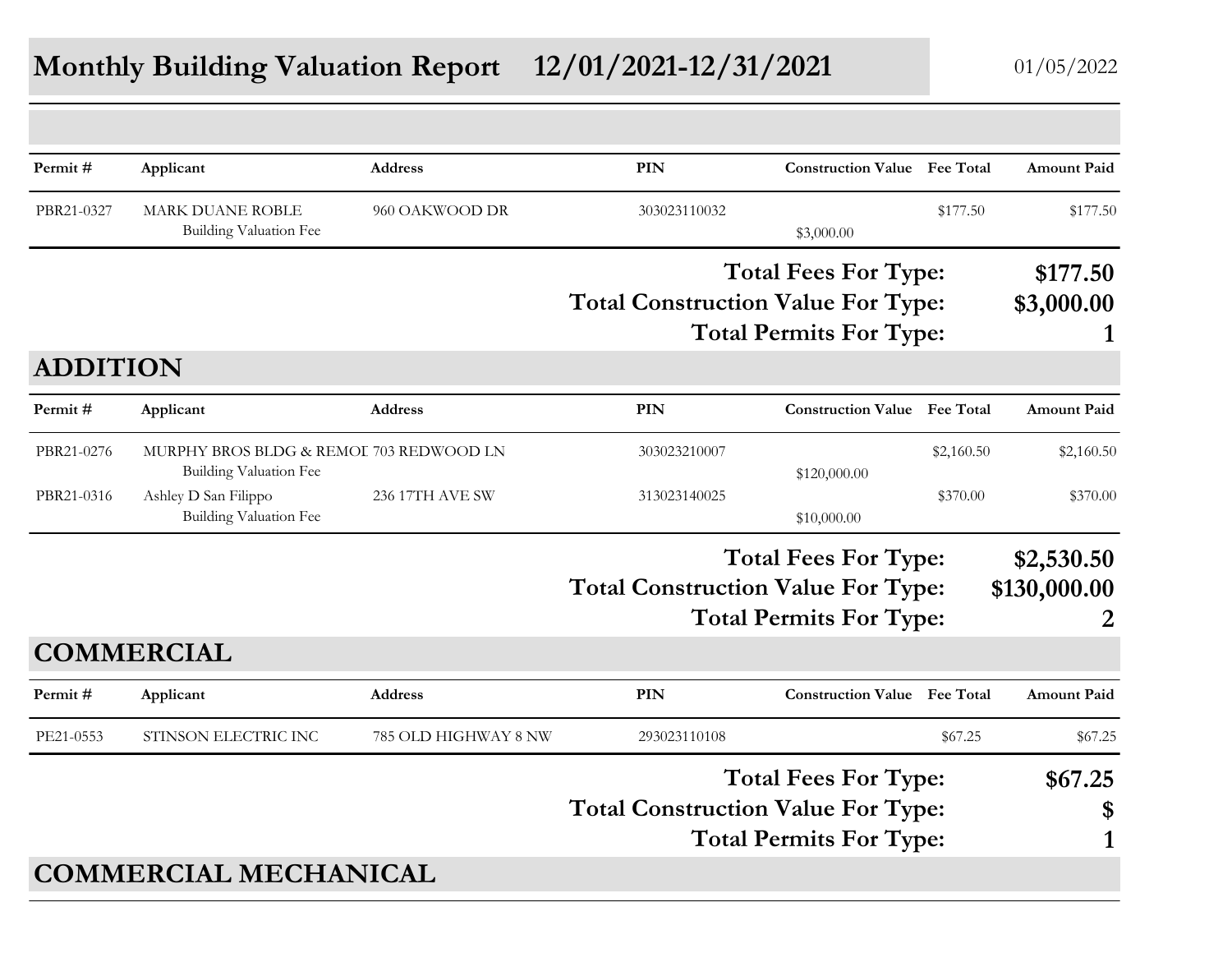## **Monthly Building Valuation Report 12/01/2021-12/31/2021** 01/05/2022

| Permit#         | Applicant                                                         | <b>Address</b>       | PIN                                       | <b>Construction Value</b> Fee Total                           |            | <b>Amount Paid</b>              |
|-----------------|-------------------------------------------------------------------|----------------------|-------------------------------------------|---------------------------------------------------------------|------------|---------------------------------|
| PBR21-0327      | <b>MARK DUANE ROBLE</b><br>Building Valuation Fee                 | 960 OAKWOOD DR       | 303023110032                              | \$3,000.00                                                    | \$177.50   | \$177.50                        |
|                 |                                                                   |                      | <b>Total Construction Value For Type:</b> | <b>Total Fees For Type:</b>                                   |            | \$177.50<br>\$3,000.00          |
| <b>ADDITION</b> |                                                                   |                      |                                           | <b>Total Permits For Type:</b>                                |            | 1                               |
| Permit#         | Applicant                                                         | <b>Address</b>       | PIN                                       | <b>Construction Value</b> Fee Total                           |            | <b>Amount Paid</b>              |
| PBR21-0276      | MURPHY BROS BLDG & REMOI 703 REDWOOD LN<br>Building Valuation Fee |                      | 303023210007                              | \$120,000.00                                                  | \$2,160.50 | \$2,160.50                      |
| PBR21-0316      | Ashley D San Filippo<br><b>Building Valuation Fee</b>             | 236 17TH AVE SW      | 313023140025                              | \$10,000.00                                                   | \$370.00   | \$370.00                        |
|                 |                                                                   |                      | <b>Total Construction Value For Type:</b> | <b>Total Fees For Type:</b><br><b>Total Permits For Type:</b> |            | \$2,530.50<br>\$130,000.00<br>2 |
|                 | <b>COMMERCIAL</b>                                                 |                      |                                           |                                                               |            |                                 |
| Permit#         | Applicant                                                         | <b>Address</b>       | <b>PIN</b>                                | <b>Construction Value</b> Fee Total                           |            | <b>Amount Paid</b>              |
| PE21-0553       | STINSON ELECTRIC INC                                              | 785 OLD HIGHWAY 8 NW | 293023110108                              |                                                               | \$67.25    | \$67.25                         |
|                 |                                                                   |                      | <b>Total Construction Value For Type:</b> | <b>Total Fees For Type:</b><br><b>Total Permits For Type:</b> |            | \$67.25<br>\$<br>1              |
|                 | <b>COMMERCIAL MECHANICAL</b>                                      |                      |                                           |                                                               |            |                                 |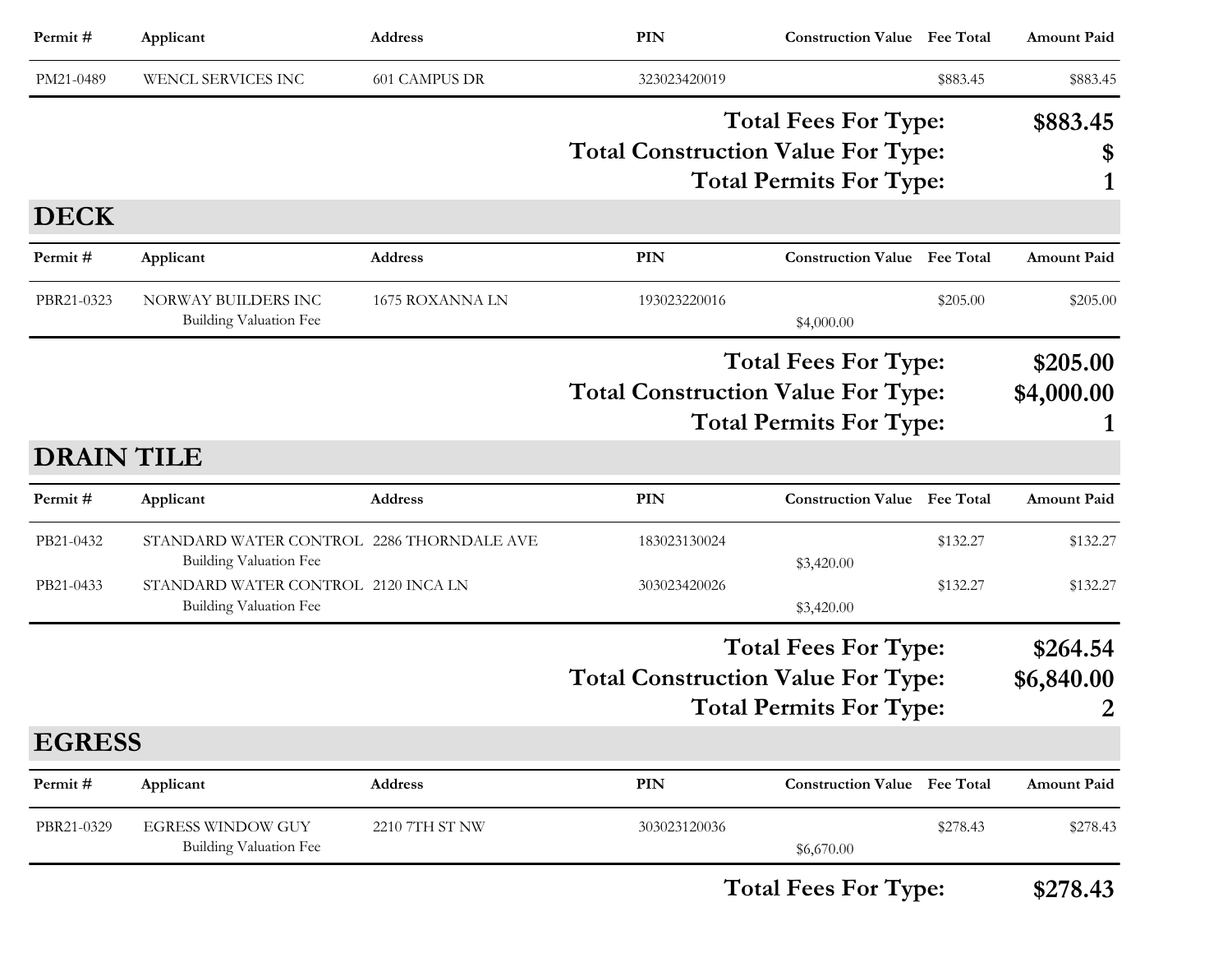| Permit#                | Applicant                                                                                                                                          | Address              | <b>PIN</b>                                                                                                 | <b>Construction Value</b> Fee Total                           |                      | <b>Amount Paid</b>          |
|------------------------|----------------------------------------------------------------------------------------------------------------------------------------------------|----------------------|------------------------------------------------------------------------------------------------------------|---------------------------------------------------------------|----------------------|-----------------------------|
| PM21-0489              | WENCL SERVICES INC                                                                                                                                 | <b>601 CAMPUS DR</b> | 323023420019                                                                                               |                                                               | \$883.45             | \$883.45                    |
|                        |                                                                                                                                                    |                      | <b>Total Construction Value For Type:</b>                                                                  | <b>Total Fees For Type:</b><br><b>Total Permits For Type:</b> |                      | \$883.45<br>\$<br>1         |
| <b>DECK</b>            |                                                                                                                                                    |                      |                                                                                                            |                                                               |                      |                             |
| Permit#                | Applicant                                                                                                                                          | <b>Address</b>       | <b>PIN</b>                                                                                                 | <b>Construction Value Fee Total</b>                           |                      | <b>Amount Paid</b>          |
| PBR21-0323             | NORWAY BUILDERS INC<br><b>Building Valuation Fee</b>                                                                                               | 1675 ROXANNA LN      | 193023220016                                                                                               | \$4,000.00                                                    | \$205.00             | \$205.00                    |
|                        |                                                                                                                                                    |                      | <b>Total Fees For Type:</b><br><b>Total Construction Value For Type:</b><br><b>Total Permits For Type:</b> |                                                               |                      | \$205.00<br>\$4,000.00      |
| <b>DRAIN TILE</b>      |                                                                                                                                                    |                      |                                                                                                            |                                                               |                      |                             |
| Permit#                | Applicant                                                                                                                                          | <b>Address</b>       | <b>PIN</b>                                                                                                 | <b>Construction Value</b> Fee Total                           |                      | <b>Amount Paid</b>          |
| PB21-0432<br>PB21-0433 | STANDARD WATER CONTROL 2286 THORNDALE AVE<br><b>Building Valuation Fee</b><br>STANDARD WATER CONTROL 2120 INCA LN<br><b>Building Valuation Fee</b> |                      | 183023130024<br>303023420026                                                                               | \$3,420.00<br>\$3,420.00                                      | \$132.27<br>\$132.27 | \$132.27<br>\$132.27        |
|                        |                                                                                                                                                    |                      | <b>Total Construction Value For Type:</b>                                                                  | <b>Total Fees For Type:</b><br><b>Total Permits For Type:</b> |                      | \$264.54<br>\$6,840.00<br>2 |
| <b>EGRESS</b>          |                                                                                                                                                    |                      |                                                                                                            |                                                               |                      |                             |
| Permit#                | Applicant                                                                                                                                          | Address              | PIN                                                                                                        | <b>Construction Value Fee Total</b>                           |                      | <b>Amount Paid</b>          |
| PBR21-0329             | <b>EGRESS WINDOW GUY</b><br><b>Building Valuation Fee</b>                                                                                          | 2210 7TH ST NW       | 303023120036                                                                                               | \$6,670.00                                                    | \$278.43             | \$278.43                    |

**Total Fees For Type: \$278.43**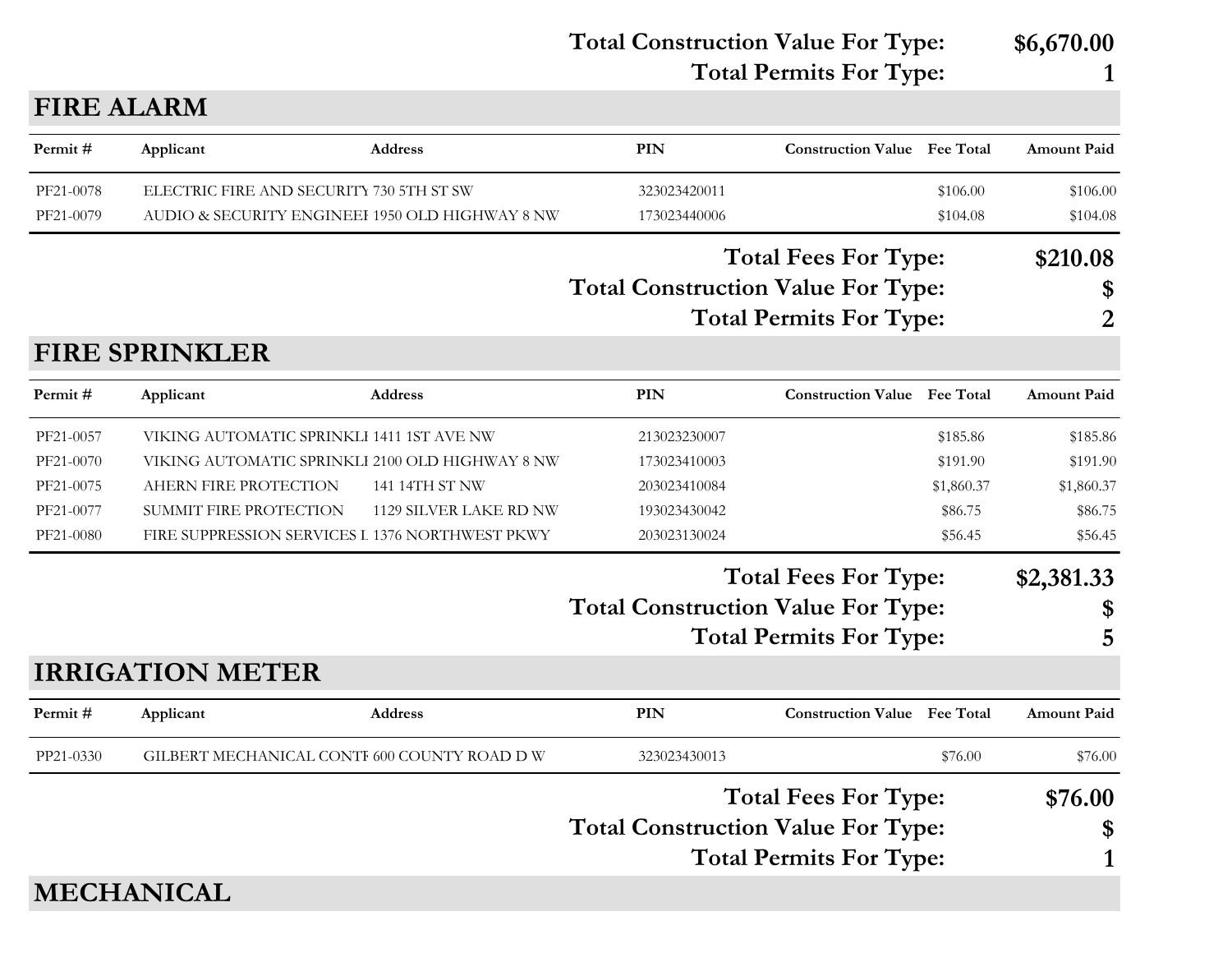**Total Construction Value For Type: \$6,670.00 Total Permits For Type: 1**

#### **FIRE ALARM**

| Permit#   | Applicant                                       | <b>Address</b>         | PIN                                       | <b>Construction Value</b> Fee Total |            | <b>Amount Paid</b> |
|-----------|-------------------------------------------------|------------------------|-------------------------------------------|-------------------------------------|------------|--------------------|
| PF21-0078 | ELECTRIC FIRE AND SECURITY 730 5TH ST SW        |                        | 323023420011                              |                                     | \$106.00   | \$106.00           |
| PF21-0079 | AUDIO & SECURITY ENGINEEI 1950 OLD HIGHWAY 8 NW |                        | 173023440006                              |                                     | \$104.08   | \$104.08           |
|           |                                                 |                        |                                           | <b>Total Fees For Type:</b>         |            | \$210.08           |
|           |                                                 |                        | <b>Total Construction Value For Type:</b> |                                     |            | \$                 |
|           |                                                 |                        |                                           | <b>Total Permits For Type:</b>      |            | 2                  |
|           | <b>FIRE SPRINKLER</b>                           |                        |                                           |                                     |            |                    |
| Permit#   | Applicant                                       | Address                | <b>PIN</b>                                | <b>Construction Value</b> Fee Total |            | <b>Amount Paid</b> |
| PF21-0057 | VIKING AUTOMATIC SPRINKLI 1411 1ST AVE NW       |                        | 213023230007                              |                                     | \$185.86   | \$185.86           |
| PF21-0070 | VIKING AUTOMATIC SPRINKLI 2100 OLD HIGHWAY 8 NW |                        | 173023410003                              |                                     | \$191.90   | \$191.90           |
| PF21-0075 | AHERN FIRE PROTECTION                           | 141 14TH ST NW         | 203023410084                              |                                     | \$1,860.37 | \$1,860.37         |
| PF21-0077 | SUMMIT FIRE PROTECTION                          | 1129 SILVER LAKE RD NW | 193023430042                              |                                     | \$86.75    | \$86.75            |
| PF21-0080 | FIRE SUPPRESSION SERVICES L 1376 NORTHWEST PKWY |                        | 203023130024                              |                                     | \$56.45    | \$56.45            |
|           |                                                 |                        |                                           | <b>Total Fees For Type:</b>         |            | \$2,381.33         |
|           |                                                 |                        | <b>Total Construction Value For Type:</b> |                                     |            | \$                 |
|           |                                                 |                        |                                           | <b>Total Permits For Type:</b>      |            | 5                  |
|           | <b>IRRIGATION METER</b>                         |                        |                                           |                                     |            |                    |
| Permit#   | Applicant                                       | <b>Address</b>         | PIN                                       | <b>Construction Value</b> Fee Total |            | <b>Amount Paid</b> |
| PP21-0330 | GILBERT MECHANICAL CONTI 600 COUNTY ROAD D W    |                        | 323023430013                              |                                     | \$76.00    | \$76.00            |
|           |                                                 |                        |                                           | <b>Total Fees For Type:</b>         |            | \$76.00            |
|           |                                                 |                        | <b>Total Construction Value For Type:</b> |                                     |            | \$                 |
|           |                                                 |                        |                                           | <b>Total Permits For Type:</b>      |            | $\mathbf{1}$       |
|           |                                                 |                        |                                           |                                     |            |                    |

### **MECHANICAL**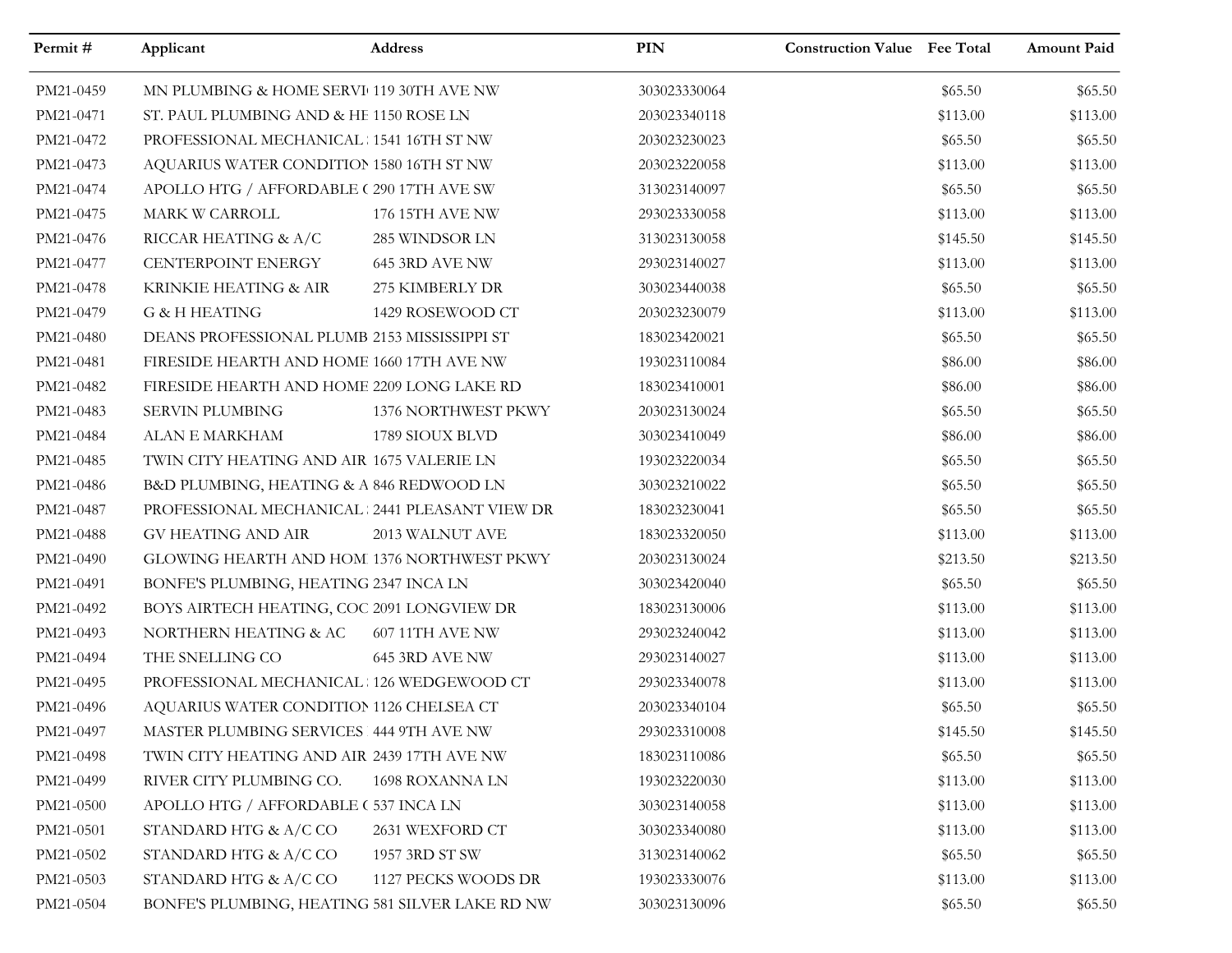| Permit#   | Applicant                                       | Address             | PIN          | <b>Construction Value Fee Total</b> |          | Amount Paid |
|-----------|-------------------------------------------------|---------------------|--------------|-------------------------------------|----------|-------------|
| PM21-0459 | MN PLUMBING & HOME SERVI 119 30TH AVE NW        |                     | 303023330064 |                                     | \$65.50  | \$65.50     |
| PM21-0471 | ST. PAUL PLUMBING AND & HE 1150 ROSE LN         |                     | 203023340118 |                                     | \$113.00 | \$113.00    |
| PM21-0472 | PROFESSIONAL MECHANICAL 1541 16TH ST NW         |                     | 203023230023 |                                     | \$65.50  | \$65.50     |
| PM21-0473 | AQUARIUS WATER CONDITION 1580 16TH ST NW        |                     | 203023220058 |                                     | \$113.00 | \$113.00    |
| PM21-0474 | APOLLO HTG / AFFORDABLE (290 17TH AVE SW        |                     | 313023140097 |                                     | \$65.50  | \$65.50     |
| PM21-0475 | MARK W CARROLL                                  | 176 15TH AVE NW     | 293023330058 |                                     | \$113.00 | \$113.00    |
| PM21-0476 | RICCAR HEATING & A/C                            | 285 WINDSOR LN      | 313023130058 |                                     | \$145.50 | \$145.50    |
| PM21-0477 | CENTERPOINT ENERGY                              | 645 3RD AVE NW      | 293023140027 |                                     | \$113.00 | \$113.00    |
| PM21-0478 | KRINKIE HEATING & AIR                           | 275 KIMBERLY DR     | 303023440038 |                                     | \$65.50  | \$65.50     |
| PM21-0479 | <b>G &amp; H HEATING</b>                        | 1429 ROSEWOOD CT    | 203023230079 |                                     | \$113.00 | \$113.00    |
| PM21-0480 | DEANS PROFESSIONAL PLUMB 2153 MISSISSIPPI ST    |                     | 183023420021 |                                     | \$65.50  | \$65.50     |
| PM21-0481 | FIRESIDE HEARTH AND HOME 1660 17TH AVE NW       |                     | 193023110084 |                                     | \$86.00  | \$86.00     |
| PM21-0482 | FIRESIDE HEARTH AND HOME 2209 LONG LAKE RD      |                     | 183023410001 |                                     | \$86.00  | \$86.00     |
| PM21-0483 | <b>SERVIN PLUMBING</b>                          | 1376 NORTHWEST PKWY | 203023130024 |                                     | \$65.50  | \$65.50     |
| PM21-0484 | ALAN E MARKHAM                                  | 1789 SIOUX BLVD     | 303023410049 |                                     | \$86.00  | \$86.00     |
| PM21-0485 | TWIN CITY HEATING AND AIR 1675 VALERIE LN       |                     | 193023220034 |                                     | \$65.50  | \$65.50     |
| PM21-0486 | B&D PLUMBING, HEATING & A 846 REDWOOD LN        |                     | 303023210022 |                                     | \$65.50  | \$65.50     |
| PM21-0487 | PROFESSIONAL MECHANICAL 2441 PLEASANT VIEW DR   |                     | 183023230041 |                                     | \$65.50  | \$65.50     |
| PM21-0488 | <b>GV HEATING AND AIR</b>                       | 2013 WALNUT AVE     | 183023320050 |                                     | \$113.00 | \$113.00    |
| PM21-0490 | GLOWING HEARTH AND HOM 1376 NORTHWEST PKWY      |                     | 203023130024 |                                     | \$213.50 | \$213.50    |
| PM21-0491 | BONFE'S PLUMBING, HEATING 2347 INCA LN          |                     | 303023420040 |                                     | \$65.50  | \$65.50     |
| PM21-0492 | BOYS AIRTECH HEATING, COC 2091 LONGVIEW DR      |                     | 183023130006 |                                     | \$113.00 | \$113.00    |
| PM21-0493 | NORTHERN HEATING & AC                           | 607 11TH AVE NW     | 293023240042 |                                     | \$113.00 | \$113.00    |
| PM21-0494 | THE SNELLING CO                                 | 645 3RD AVE NW      | 293023140027 |                                     | \$113.00 | \$113.00    |
| PM21-0495 | PROFESSIONAL MECHANICAL 126 WEDGEWOOD CT        |                     | 293023340078 |                                     | \$113.00 | \$113.00    |
| PM21-0496 | AQUARIUS WATER CONDITION 1126 CHELSEA CT        |                     | 203023340104 |                                     | \$65.50  | \$65.50     |
| PM21-0497 | MASTER PLUMBING SERVICES 444 9TH AVE NW         |                     | 293023310008 |                                     | \$145.50 | \$145.50    |
| PM21-0498 | TWIN CITY HEATING AND AIR 2439 17TH AVE NW      |                     | 183023110086 |                                     | \$65.50  | \$65.50     |
| PM21-0499 | RIVER CITY PLUMBING CO.                         | 1698 ROXANNA LN     | 193023220030 |                                     | \$113.00 | \$113.00    |
| PM21-0500 | APOLLO HTG / AFFORDABLE (537 INCA LN            |                     | 303023140058 |                                     | \$113.00 | \$113.00    |
| PM21-0501 | STANDARD HTG & A/C CO                           | 2631 WEXFORD CT     | 303023340080 |                                     | \$113.00 | \$113.00    |
| PM21-0502 | STANDARD HTG & A/C CO                           | 1957 3RD ST SW      | 313023140062 |                                     | \$65.50  | \$65.50     |
| PM21-0503 | STANDARD HTG & A/C CO                           | 1127 PECKS WOODS DR | 193023330076 |                                     | \$113.00 | \$113.00    |
| PM21-0504 | BONFE'S PLUMBING, HEATING 581 SILVER LAKE RD NW |                     | 303023130096 |                                     | \$65.50  | \$65.50     |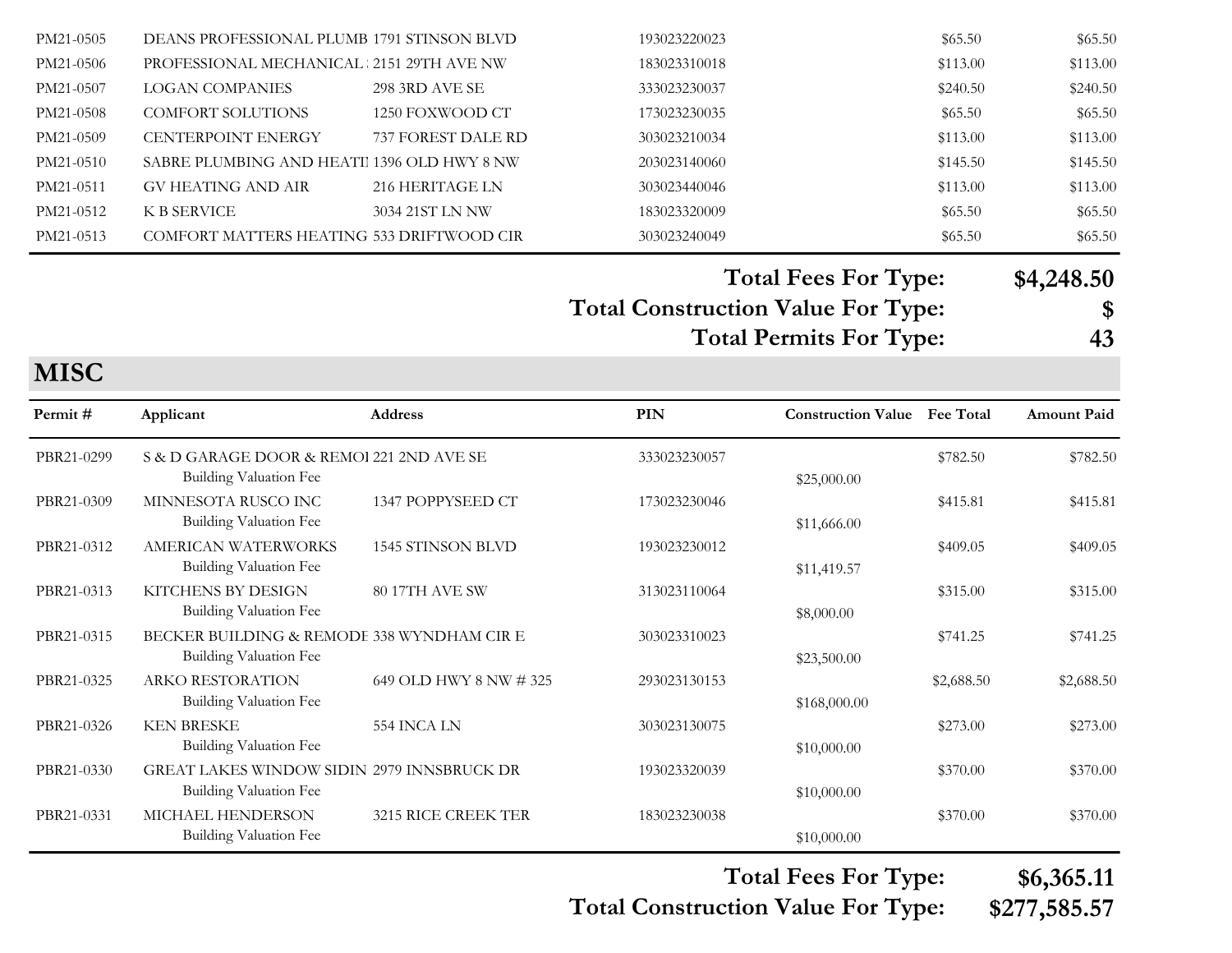| PM21-0505 | DEANS PROFESSIONAL PLUMB 1791 STINSON BLVD |                       | 193023220023 | \$65.50  | \$65.50  |
|-----------|--------------------------------------------|-----------------------|--------------|----------|----------|
| PM21-0506 | PROFESSIONAL MECHANICAL : 2151 29TH AVE NW |                       | 183023310018 | \$113.00 | \$113.00 |
| PM21-0507 | LOGAN COMPANIES                            | <b>298 3RD AVE SE</b> | 333023230037 | \$240.50 | \$240.50 |
| PM21-0508 | <b>COMFORT SOLUTIONS</b>                   | 1250 FOXWOOD CT       | 173023230035 | \$65.50  | \$65.50  |
| PM21-0509 | <b>CENTERPOINT ENERGY</b>                  | 737 FOREST DALE RD    | 303023210034 | \$113.00 | \$113.00 |
| PM21-0510 | SABRE PLUMBING AND HEATI 1396 OLD HWY 8 NW |                       | 203023140060 | \$145.50 | \$145.50 |
| PM21-0511 | GV HEATING AND AIR                         | 216 HERITAGE LN       | 303023440046 | \$113.00 | \$113.00 |
| PM21-0512 | K B SERVICE                                | 3034 21ST LN NW       | 183023320009 | \$65.50  | \$65.50  |
| PM21-0513 | COMFORT MATTERS HEATING 533 DRIFTWOOD CIR  |                       | 303023240049 | \$65.50  | \$65.50  |
|           |                                            |                       |              |          |          |

**Total Construction Value For Type: \$ Total Fees For Type: \$4,248.50 Total Permits For Type: 43**

**MISC**

| Permit#    | Applicant                                                                   | <b>Address</b>         | PIN          | <b>Construction Value</b> | <b>Fee Total</b> | <b>Amount Paid</b> |
|------------|-----------------------------------------------------------------------------|------------------------|--------------|---------------------------|------------------|--------------------|
| PBR21-0299 | S & D GARAGE DOOR & REMOI 221 2ND AVE SE<br><b>Building Valuation Fee</b>   |                        | 333023230057 | \$25,000.00               | \$782.50         | \$782.50           |
| PBR21-0309 | MINNESOTA RUSCO INC<br>Building Valuation Fee                               | 1347 POPPYSEED CT      | 173023230046 | \$11,666.00               | \$415.81         | \$415.81           |
| PBR21-0312 | <b>AMERICAN WATERWORKS</b><br>Building Valuation Fee                        | 1545 STINSON BLVD      | 193023230012 | \$11,419.57               | \$409.05         | \$409.05           |
| PBR21-0313 | KITCHENS BY DESIGN<br>Building Valuation Fee                                | <b>80 17TH AVE SW</b>  | 313023110064 | \$8,000.00                | \$315.00         | \$315.00           |
| PBR21-0315 | BECKER BUILDING & REMODE 338 WYNDHAM CIR E<br>Building Valuation Fee        |                        | 303023310023 | \$23,500.00               | \$741.25         | \$741.25           |
| PBR21-0325 | <b>ARKO RESTORATION</b><br>Building Valuation Fee                           | 649 OLD HWY 8 NW # 325 | 293023130153 | \$168,000.00              | \$2,688.50       | \$2,688.50         |
| PBR21-0326 | <b>KEN BRESKE</b><br>Building Valuation Fee                                 | 554 INCA LN            | 303023130075 | \$10,000.00               | \$273.00         | \$273.00           |
| PBR21-0330 | GREAT LAKES WINDOW SIDIN 2979 INNSBRUCK DR<br><b>Building Valuation Fee</b> |                        | 193023320039 | \$10,000.00               | \$370.00         | \$370.00           |
| PBR21-0331 | MICHAEL HENDERSON<br>Building Valuation Fee                                 | 3215 RICE CREEK TER    | 183023230038 | \$10,000.00               | \$370.00         | \$370.00           |

**Total Construction Value For Type: \$277,585.57**

**Total Fees For Type: \$6,365.11**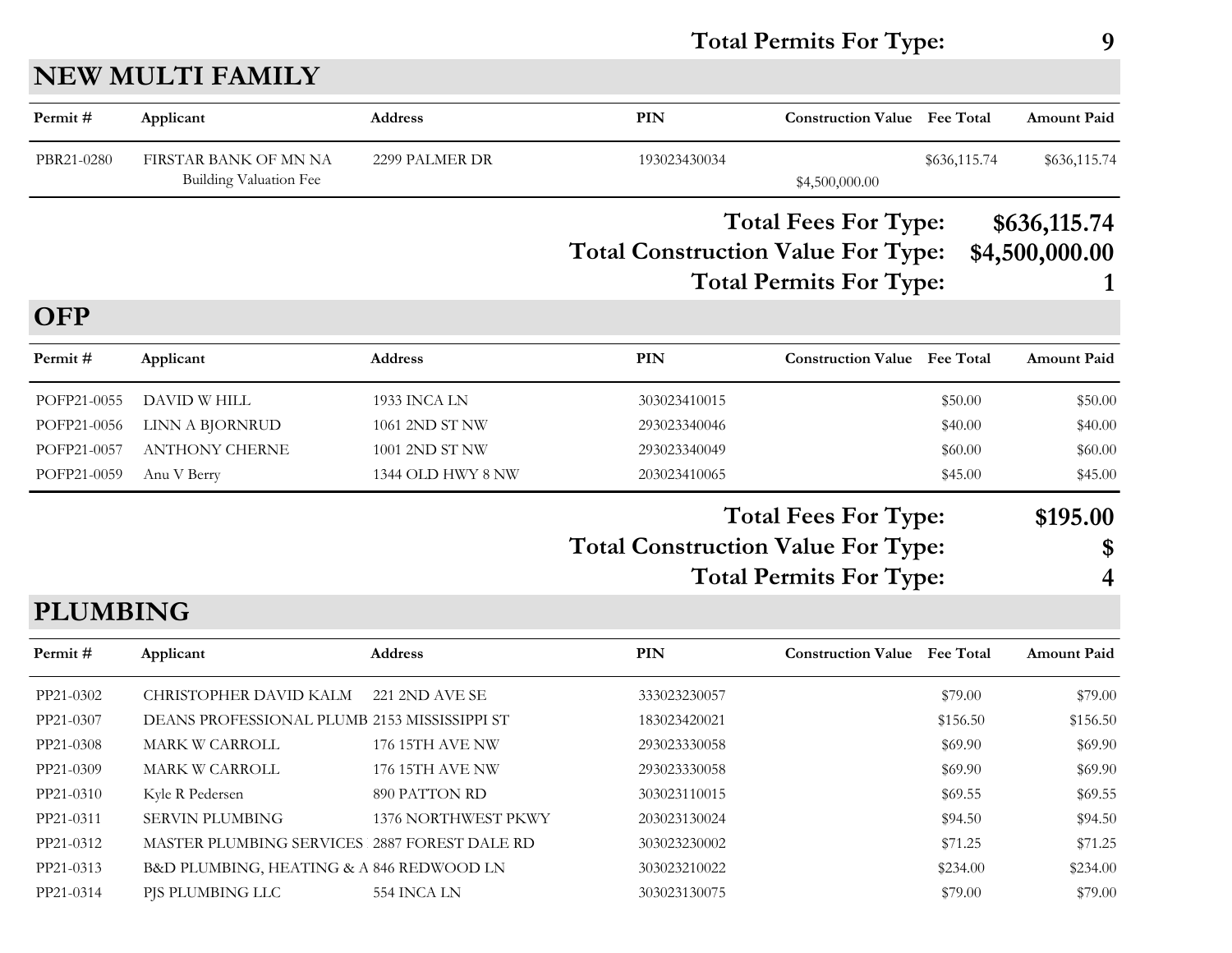#### **Total Permits For Type: 9**

### **NEW MULTI FAMILY**

| Permit#         | Applicant                                              | <b>Address</b>         | <b>PIN</b>                                | <b>Construction Value Fee Total</b> |              | <b>Amount Paid</b> |
|-----------------|--------------------------------------------------------|------------------------|-------------------------------------------|-------------------------------------|--------------|--------------------|
| PBR21-0280      | FIRSTAR BANK OF MN NA<br><b>Building Valuation Fee</b> | 2299 PALMER DR         | 193023430034                              | \$4,500,000.00                      | \$636,115.74 | \$636,115.74       |
|                 |                                                        |                        |                                           | <b>Total Fees For Type:</b>         |              | \$636,115.74       |
|                 |                                                        |                        | <b>Total Construction Value For Type:</b> |                                     |              | \$4,500,000.00     |
|                 |                                                        |                        |                                           | <b>Total Permits For Type:</b>      |              |                    |
| <b>OFP</b>      |                                                        |                        |                                           |                                     |              |                    |
| Permit#         | Applicant                                              | Address                | <b>PIN</b>                                | <b>Construction Value</b> Fee Total |              | Amount Paid        |
| POFP21-0055     | DAVID W HILL                                           | 1933 INCA LN           | 303023410015                              |                                     | \$50.00      | \$50.00            |
| POFP21-0056     | LINN A BJORNRUD                                        | 1061 2ND ST NW         | 293023340046                              |                                     | \$40.00      | \$40.00            |
| POFP21-0057     | <b>ANTHONY CHERNE</b>                                  | 1001 2ND ST NW         | 293023340049                              |                                     | \$60.00      | \$60.00            |
| POFP21-0059     | Anu V Berry                                            | 1344 OLD HWY 8 NW      | 203023410065                              |                                     | \$45.00      | \$45.00            |
|                 |                                                        |                        |                                           | <b>Total Fees For Type:</b>         |              | \$195.00           |
|                 |                                                        |                        | <b>Total Construction Value For Type:</b> |                                     |              | \$                 |
|                 |                                                        |                        |                                           | <b>Total Permits For Type:</b>      |              | 4                  |
| <b>PLUMBING</b> |                                                        |                        |                                           |                                     |              |                    |
| Permit#         | Applicant                                              | Address                | <b>PIN</b>                                | <b>Construction Value</b> Fee Total |              | <b>Amount Paid</b> |
| PP21-0302       | CHRISTOPHER DAVID KALM                                 | 221 2ND AVE SE         | 333023230057                              |                                     | \$79.00      | \$79.00            |
| PP21-0307       | DEANS PROFESSIONAL PLUMB 2153 MISSISSIPPI ST           |                        | 183023420021                              |                                     | \$156.50     | \$156.50           |
| PP21-0308       | MARK W CARROLL                                         | $176$ 15TH AVE NW      | 293023330058                              |                                     | \$69.90      | \$69.90            |
| PP21-0309       | MARK W CARROLL                                         | <b>176 15TH AVE NW</b> | 293023330058                              |                                     | \$69.90      | \$69.90            |
| PP21-0310       | Kyle R Pedersen                                        | 890 PATTON RD          | 303023110015                              |                                     | \$69.55      | \$69.55            |
| PP21-0311       | <b>SERVIN PLUMBING</b>                                 | 1376 NORTHWEST PKWY    | 203023130024                              |                                     | \$94.50      | \$94.50            |
| PP21-0312       | MASTER PLUMBING SERVICES 2887 FOREST DALE RD           |                        | 303023230002                              |                                     | \$71.25      | \$71.25            |

PP21-0313 B&D PLUMBING, HEATING & A 846 REDWOOD LN 303023210022 \$234.00 \$234.00 \$234.00 PP21-0314 PJS PLUMBING LLC 554 INCA LN 303023130075 \$79.00 \$79.00 \$79.00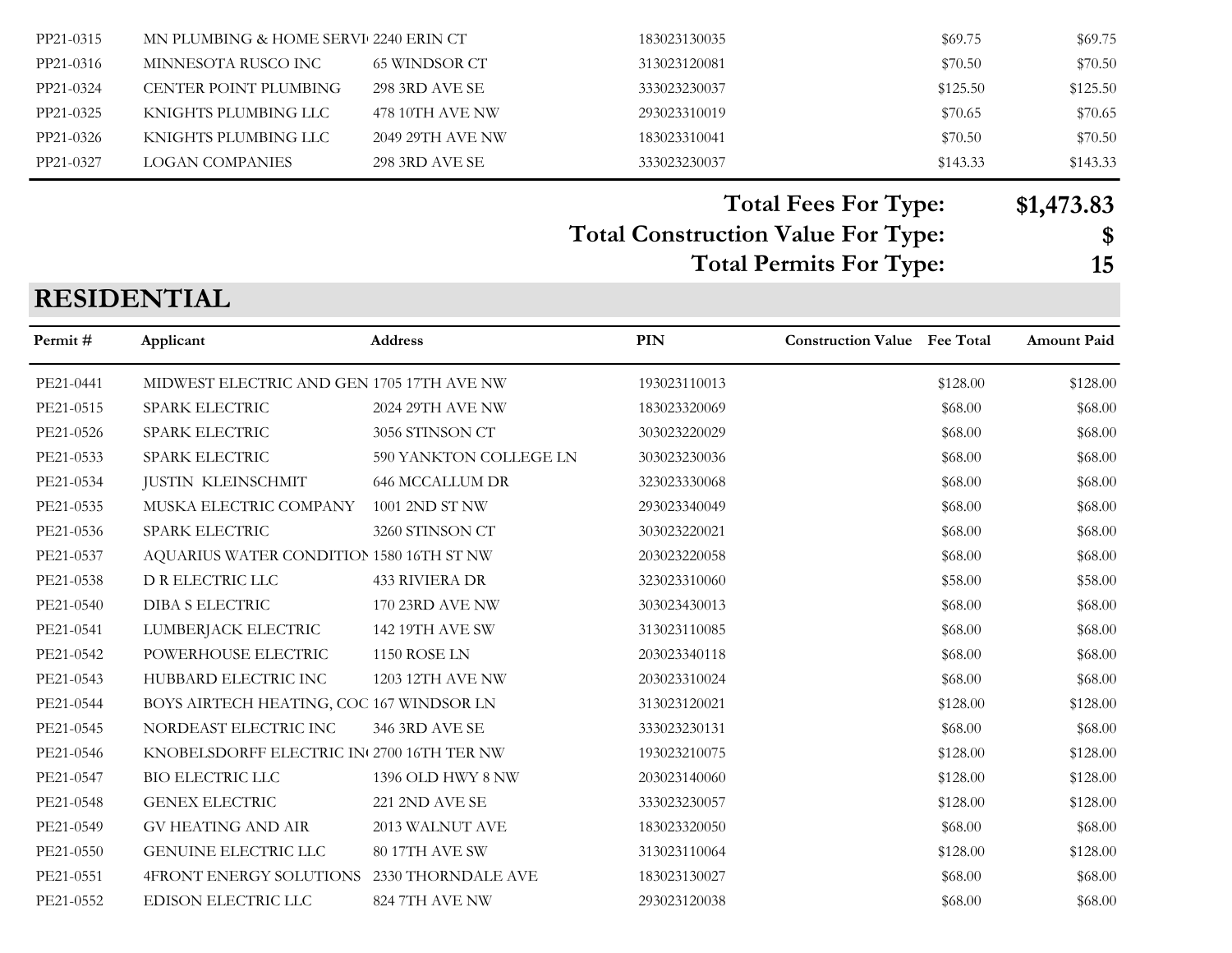| PP21-0315 | MN PLUMBING & HOME SERVI 2240 ERIN CT |                  | 183023130035 | \$69.75  | \$69.75  |
|-----------|---------------------------------------|------------------|--------------|----------|----------|
| PP21-0316 | MINNESOTA RUSCO INC                   | 65 WINDSOR CT    | 313023120081 | \$70.50  | \$70.50  |
| PP21-0324 | CENTER POINT PLUMBING                 | 298 3RD AVE SE   | 333023230037 | \$125.50 | \$125.50 |
| PP21-0325 | KNIGHTS PLUMBING LLC                  | 478 10TH AVE NW  | 293023310019 | \$70.65  | \$70.65  |
| PP21-0326 | KNIGHTS PLUMBING LLC                  | 2049 29TH AVE NW | 183023310041 | \$70.50  | \$70.50  |
| PP21-0327 | LOGAN COMPANIES                       | 298 3RD AVE SE   | 333023230037 | \$143.33 | \$143.33 |

**Total Fees For Type: \$1,473.83**

#### **Total Construction Value For Type: \$**

**Total Permits For Type: 15**

### **RESIDENTIAL**

| Permit#   | Applicant                                  | <b>Address</b>         | <b>PIN</b>   | <b>Construction Value</b> Fee Total |          | <b>Amount Paid</b> |
|-----------|--------------------------------------------|------------------------|--------------|-------------------------------------|----------|--------------------|
| PE21-0441 | MIDWEST ELECTRIC AND GEN 1705 17TH AVE NW  |                        | 193023110013 |                                     | \$128.00 | \$128.00           |
| PE21-0515 | SPARK ELECTRIC                             | 2024 29TH AVE NW       | 183023320069 |                                     | \$68.00  | \$68.00            |
| PE21-0526 | SPARK ELECTRIC                             | 3056 STINSON CT        | 303023220029 |                                     | \$68.00  | \$68.00            |
| PE21-0533 | SPARK ELECTRIC                             | 590 YANKTON COLLEGE LN | 303023230036 |                                     | \$68.00  | \$68.00            |
| PE21-0534 | <b>JUSTIN KLEINSCHMIT</b>                  | <b>646 MCCALLUM DR</b> | 323023330068 |                                     | \$68.00  | \$68.00            |
| PE21-0535 | MUSKA ELECTRIC COMPANY                     | 1001 2ND ST NW         | 293023340049 |                                     | \$68.00  | \$68.00            |
| PE21-0536 | SPARK ELECTRIC                             | 3260 STINSON CT        | 303023220021 |                                     | \$68.00  | \$68.00            |
| PE21-0537 | AQUARIUS WATER CONDITION 1580 16TH ST NW   |                        | 203023220058 |                                     | \$68.00  | \$68.00            |
| PE21-0538 | D R ELECTRIC LLC                           | <b>433 RIVIERA DR</b>  | 323023310060 |                                     | \$58.00  | \$58.00            |
| PE21-0540 | DIBA S ELECTRIC                            | <b>170 23RD AVE NW</b> | 303023430013 |                                     | \$68.00  | \$68.00            |
| PE21-0541 | LUMBERJACK ELECTRIC                        | 142 19TH AVE SW        | 313023110085 |                                     | \$68.00  | \$68.00            |
| PE21-0542 | POWERHOUSE ELECTRIC                        | 1150 ROSE LN           | 203023340118 |                                     | \$68.00  | \$68.00            |
| PE21-0543 | HUBBARD ELECTRIC INC                       | 1203 12TH AVE NW       | 203023310024 |                                     | \$68.00  | \$68.00            |
| PE21-0544 | BOYS AIRTECH HEATING, COC 167 WINDSOR LN   |                        | 313023120021 |                                     | \$128.00 | \$128.00           |
| PE21-0545 | NORDEAST ELECTRIC INC                      | 346 3RD AVE SE         | 333023230131 |                                     | \$68.00  | \$68.00            |
| PE21-0546 | KNOBELSDORFF ELECTRIC IN 2700 16TH TER NW  |                        | 193023210075 |                                     | \$128.00 | \$128.00           |
| PE21-0547 | <b>BIO ELECTRIC LLC</b>                    | 1396 OLD HWY 8 NW      | 203023140060 |                                     | \$128.00 | \$128.00           |
| PE21-0548 | <b>GENEX ELECTRIC</b>                      | 221 2ND AVE SE         | 333023230057 |                                     | \$128.00 | \$128.00           |
| PE21-0549 | <b>GV HEATING AND AIR</b>                  | 2013 WALNUT AVE        | 183023320050 |                                     | \$68.00  | \$68.00            |
| PE21-0550 | <b>GENUINE ELECTRIC LLC</b>                | 80 17TH AVE SW         | 313023110064 |                                     | \$128.00 | \$128.00           |
| PE21-0551 | 4FRONT ENERGY SOLUTIONS 2330 THORNDALE AVE |                        | 183023130027 |                                     | \$68.00  | \$68.00            |
| PE21-0552 | EDISON ELECTRIC LLC                        | 824 7TH AVE NW         | 293023120038 |                                     | \$68.00  | \$68.00            |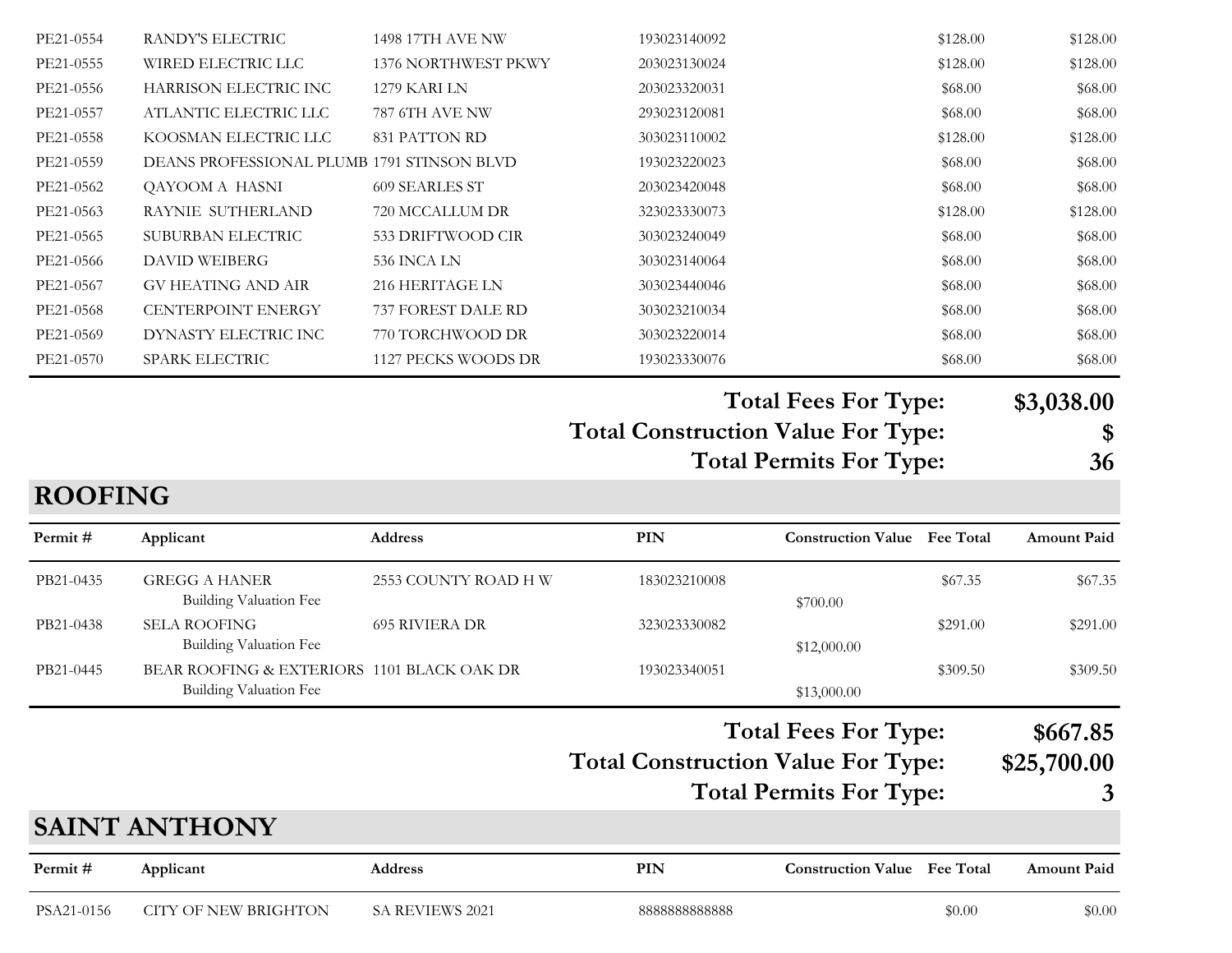| <b>SAINT ANTHONY</b><br>Permit# | Applicant                                             | Address               | <b>PIN</b>                                | <b>Construction Value</b> Fee Total |          | <b>Amount Paid</b> |  |  |
|---------------------------------|-------------------------------------------------------|-----------------------|-------------------------------------------|-------------------------------------|----------|--------------------|--|--|
|                                 |                                                       |                       |                                           |                                     |          |                    |  |  |
|                                 |                                                       |                       |                                           |                                     |          |                    |  |  |
|                                 |                                                       |                       |                                           | <b>Total Permits For Type:</b>      |          | 3                  |  |  |
|                                 |                                                       |                       | <b>Total Construction Value For Type:</b> |                                     |          | \$25,700.00        |  |  |
|                                 |                                                       |                       |                                           | <b>Total Fees For Type:</b>         |          | \$667.85           |  |  |
|                                 | <b>Building Valuation Fee</b>                         |                       |                                           | \$13,000.00                         |          |                    |  |  |
| PB21-0445                       | BEAR ROOFING & EXTERIORS 1101 BLACK OAK DR            |                       | 193023340051                              |                                     | \$309.50 | \$309.50           |  |  |
| PB21-0438                       | <b>SELA ROOFING</b><br><b>Building Valuation Fee</b>  | <b>695 RIVIERA DR</b> | 323023330082                              | \$12,000.00                         | \$291.00 | \$291.00           |  |  |
| PB21-0435                       | <b>GREGG A HANER</b><br><b>Building Valuation Fee</b> | 2553 COUNTY ROAD H W  | 183023210008                              | \$700.00                            | \$67.35  | \$67.35            |  |  |
| Permit#                         | Applicant                                             | <b>Address</b>        | <b>PIN</b>                                | <b>Construction Value</b> Fee Total |          | <b>Amount Paid</b> |  |  |
| <b>ROOFING</b>                  |                                                       |                       |                                           |                                     |          |                    |  |  |
|                                 |                                                       |                       |                                           | <b>Total Permits For Type:</b>      |          | 36                 |  |  |
|                                 |                                                       |                       | <b>Total Construction Value For Type:</b> |                                     |          | \$3,038.00<br>\$   |  |  |
|                                 |                                                       |                       |                                           | <b>Total Fees For Type:</b>         |          |                    |  |  |
| PE21-0570                       | SPARK ELECTRIC                                        | 1127 PECKS WOODS DR   | 193023330076                              |                                     | \$68.00  | \$68.00            |  |  |
| PE21-0569                       | DYNASTY ELECTRIC INC                                  | 770 TORCHWOOD DR      | 303023220014                              |                                     | \$68.00  | \$68.00            |  |  |
| PE21-0568                       | CENTERPOINT ENERGY                                    | 737 FOREST DALE RD    | 303023210034                              |                                     | \$68.00  | \$68.00            |  |  |
| PE21-0567                       | <b>GV HEATING AND AIR</b>                             | 216 HERITAGE LN       | 303023440046                              |                                     | \$68.00  | \$68.00            |  |  |
| PE21-0566                       | <b>DAVID WEIBERG</b>                                  | 536 INCA LN           | 303023140064                              |                                     | \$68.00  | \$68.00            |  |  |
| PE21-0565                       | SUBURBAN ELECTRIC                                     | 533 DRIFTWOOD CIR     | 303023240049                              |                                     | \$68.00  | \$68.00            |  |  |
| PE21-0563                       | RAYNIE SUTHERLAND                                     | 720 MCCALLUM DR       | 323023330073                              |                                     | \$128.00 | \$128.00           |  |  |
| PE21-0562                       | QAYOOM A HASNI                                        | 609 SEARLES ST        | 203023420048                              |                                     | \$68.00  | \$68.00            |  |  |
| PE21-0559                       | DEANS PROFESSIONAL PLUMB 1791 STINSON BLVD            |                       | 193023220023                              |                                     | \$68.00  | \$68.00            |  |  |
| PE21-0558                       | KOOSMAN ELECTRIC LLC                                  | 831 PATTON RD         | 303023110002                              |                                     | \$128.00 | \$128.00           |  |  |
| PE21-0557                       | ATLANTIC ELECTRIC LLC                                 | <b>787 6TH AVE NW</b> | 293023120081                              |                                     | \$68.00  | \$68.00            |  |  |
| PE21-0556                       | HARRISON ELECTRIC INC                                 | 1279 KARI LN          | 203023320031                              |                                     | \$68.00  | \$68.00            |  |  |
| PE21-0555                       | WIRED ELECTRIC LLC                                    | 1376 NORTHWEST PKWY   | 203023130024                              |                                     | \$128.00 | \$128.00           |  |  |
| PE21-0554                       | RANDY'S ELECTRIC                                      | 1498 17TH AVE NW      | 193023140092                              |                                     | \$128.00 | \$128.00           |  |  |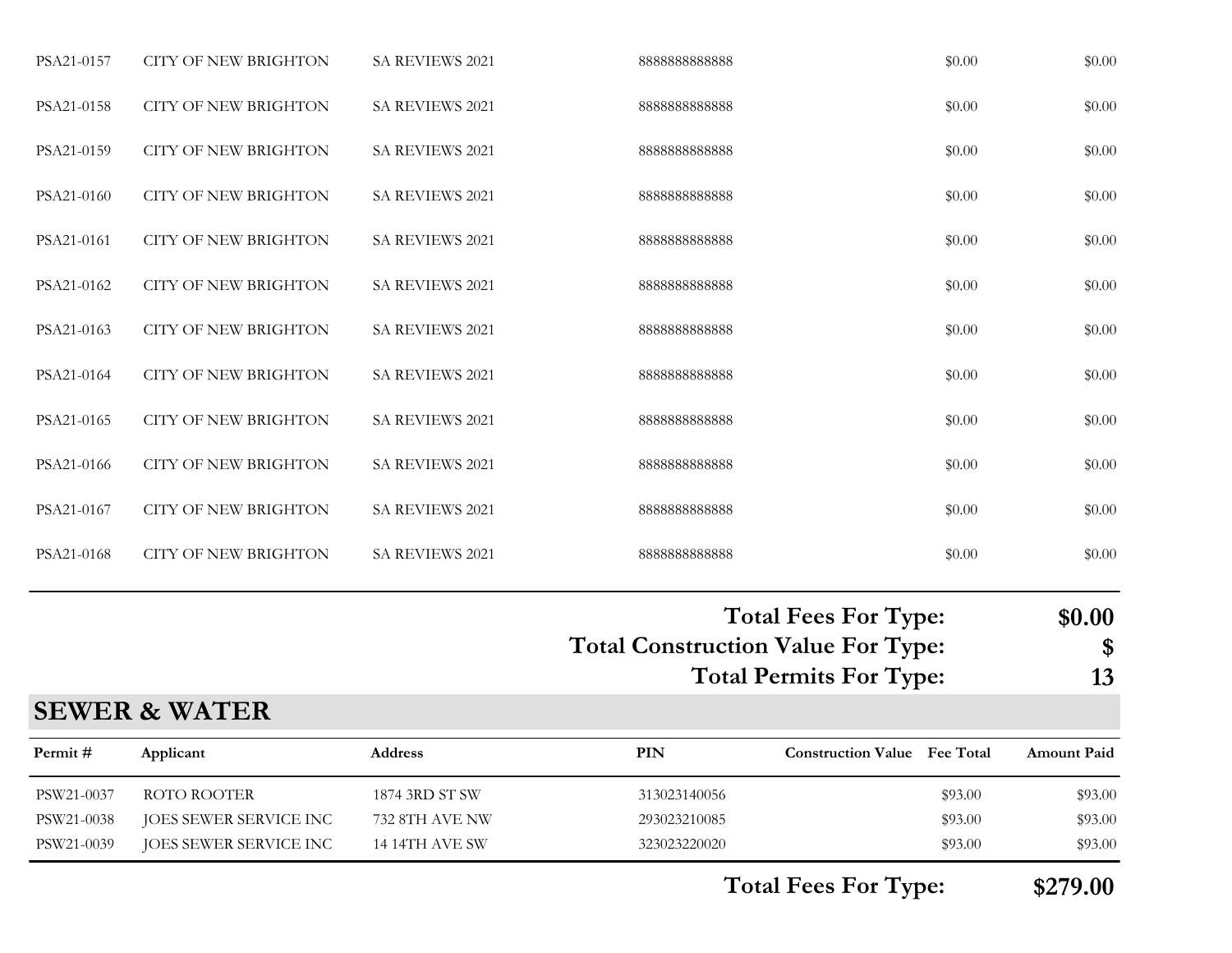| PSA21-0157 | <b>CITY OF NEW BRIGHTON</b> | SA REVIEWS 2021        | 888888888888 | \$0.00 | \$0.00 |
|------------|-----------------------------|------------------------|--------------|--------|--------|
| PSA21-0158 | <b>CITY OF NEW BRIGHTON</b> | <b>SA REVIEWS 2021</b> | 888888888888 | \$0.00 | \$0.00 |
| PSA21-0159 | <b>CITY OF NEW BRIGHTON</b> | <b>SA REVIEWS 2021</b> | 888888888888 | \$0.00 | \$0.00 |
| PSA21-0160 | <b>CITY OF NEW BRIGHTON</b> | <b>SA REVIEWS 2021</b> | 888888888888 | \$0.00 | \$0.00 |
| PSA21-0161 | <b>CITY OF NEW BRIGHTON</b> | <b>SA REVIEWS 2021</b> | 888888888888 | \$0.00 | \$0.00 |
| PSA21-0162 | <b>CITY OF NEW BRIGHTON</b> | <b>SA REVIEWS 2021</b> | 888888888888 | \$0.00 | \$0.00 |
| PSA21-0163 | <b>CITY OF NEW BRIGHTON</b> | <b>SA REVIEWS 2021</b> | 888888888888 | \$0.00 | \$0.00 |
| PSA21-0164 | <b>CITY OF NEW BRIGHTON</b> | <b>SA REVIEWS 2021</b> | 888888888888 | \$0.00 | \$0.00 |
| PSA21-0165 | <b>CITY OF NEW BRIGHTON</b> | <b>SA REVIEWS 2021</b> | 888888888888 | \$0.00 | \$0.00 |
| PSA21-0166 | <b>CITY OF NEW BRIGHTON</b> | <b>SA REVIEWS 2021</b> | 888888888888 | \$0.00 | \$0.00 |
| PSA21-0167 | <b>CITY OF NEW BRIGHTON</b> | SA REVIEWS 2021        | 888888888888 | \$0.00 | \$0.00 |
| PSA21-0168 | <b>CITY OF NEW BRIGHTON</b> | SA REVIEWS 2021        | 888888888888 | \$0.00 | \$0.00 |
|            |                             |                        |              |        |        |

## **Total Fees For Type: \$0.00**

**Total Construction Value For Type: \$ Total Permits For Type: 13**

#### **SEWER & WATER**

| Permit #   | Applicant              | <b>Address</b> | PIN          | <b>Construction Value</b> Fee Total |         | <b>Amount Paid</b> |
|------------|------------------------|----------------|--------------|-------------------------------------|---------|--------------------|
| PSW21-0037 | ROTO ROOTER            | 1874 3RD ST SW | 313023140056 |                                     | \$93.00 | \$93.00            |
| PSW21-0038 | JOES SEWER SERVICE INC | 732 8TH AVE NW | 293023210085 |                                     | \$93.00 | \$93.00            |
| PSW21-0039 | JOES SEWER SERVICE INC | 14 14TH AVE SW | 323023220020 |                                     | \$93.00 | \$93.00            |

**Total Fees For Type: \$279.00**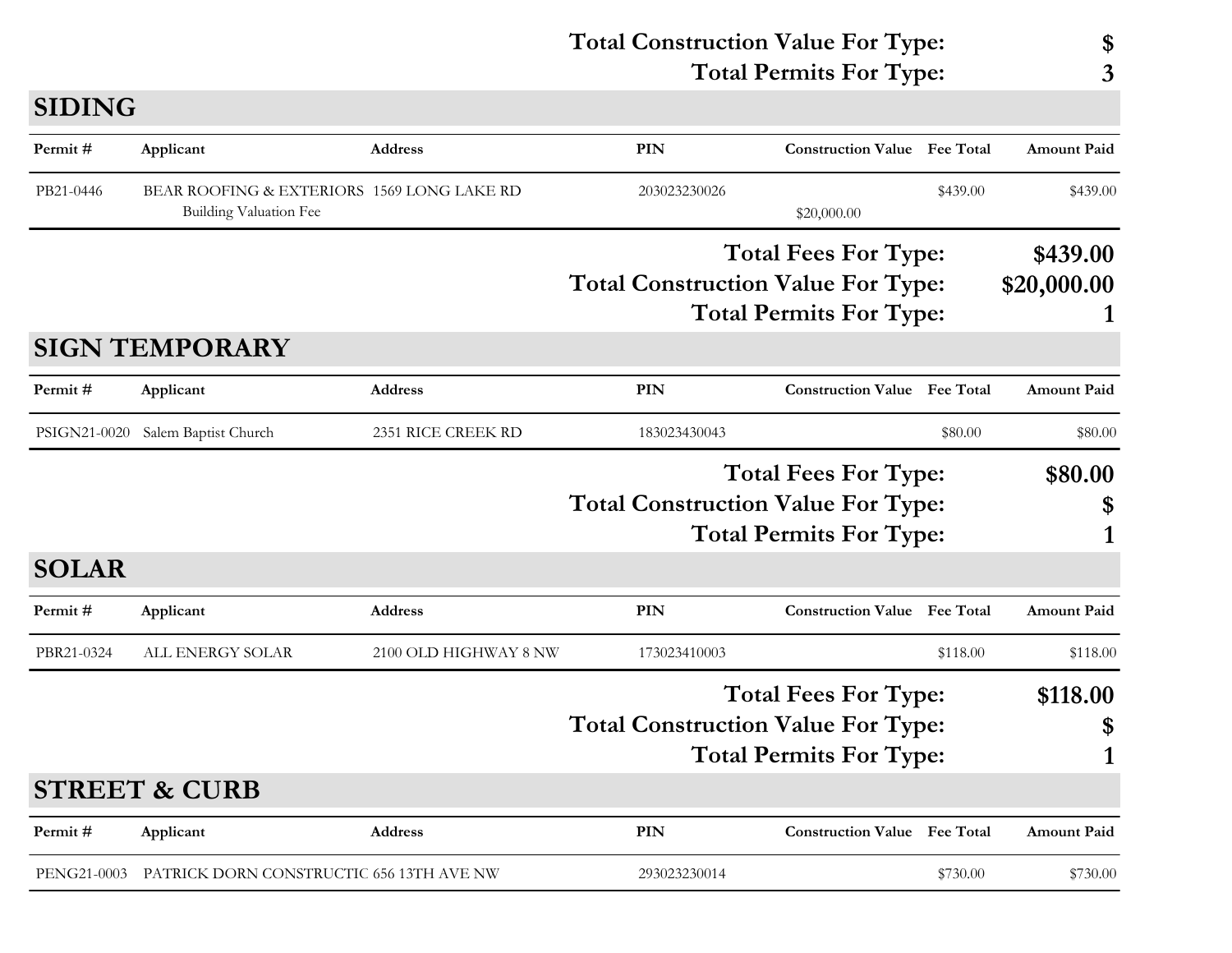|               |                                                                             |                       | <b>Total Construction Value For Type:</b><br><b>Total Permits For Type:</b> |              |                                                                                                            | \$<br>3  |                         |
|---------------|-----------------------------------------------------------------------------|-----------------------|-----------------------------------------------------------------------------|--------------|------------------------------------------------------------------------------------------------------------|----------|-------------------------|
| <b>SIDING</b> |                                                                             |                       |                                                                             |              |                                                                                                            |          |                         |
| Permit#       | Applicant                                                                   | <b>Address</b>        |                                                                             | <b>PIN</b>   | <b>Construction Value Fee Total</b>                                                                        |          | <b>Amount Paid</b>      |
| PB21-0446     | BEAR ROOFING & EXTERIORS 1569 LONG LAKE RD<br><b>Building Valuation Fee</b> |                       |                                                                             | 203023230026 | \$20,000.00                                                                                                | \$439.00 | \$439.00                |
|               |                                                                             |                       |                                                                             |              | <b>Total Fees For Type:</b><br><b>Total Construction Value For Type:</b><br><b>Total Permits For Type:</b> |          | \$439.00<br>\$20,000.00 |
|               | <b>SIGN TEMPORARY</b>                                                       |                       |                                                                             |              |                                                                                                            |          |                         |
| Permit#       | Applicant                                                                   | <b>Address</b>        |                                                                             | <b>PIN</b>   | <b>Construction Value</b> Fee Total                                                                        |          | <b>Amount Paid</b>      |
| PSIGN21-0020  | Salem Baptist Church                                                        | 2351 RICE CREEK RD    |                                                                             | 183023430043 |                                                                                                            | \$80.00  | \$80.00                 |
|               |                                                                             |                       |                                                                             |              | <b>Total Fees For Type:</b><br><b>Total Construction Value For Type:</b><br><b>Total Permits For Type:</b> |          | \$80.00<br>\$<br>1      |
| <b>SOLAR</b>  |                                                                             |                       |                                                                             |              |                                                                                                            |          |                         |
| Permit#       | Applicant                                                                   | <b>Address</b>        |                                                                             | PIN          | <b>Construction Value Fee Total</b>                                                                        |          | <b>Amount Paid</b>      |
| PBR21-0324    | ALL ENERGY SOLAR                                                            | 2100 OLD HIGHWAY 8 NW |                                                                             | 173023410003 |                                                                                                            | \$118.00 | \$118.00                |
|               |                                                                             |                       |                                                                             |              | <b>Total Fees For Type:</b>                                                                                |          | \$118.00                |

# **Total Construction Value For Type: \$**

# **Total Permits For Type: 1 PIN Construction Value Permit # Applicant Address Fee Total Amount Paid STREET & CURB**

PENG21-0003 PATRICK DORN CONSTRUCTIC 656 13TH AVE NW 293023230014 \$730.00 \$730.00 \$730.00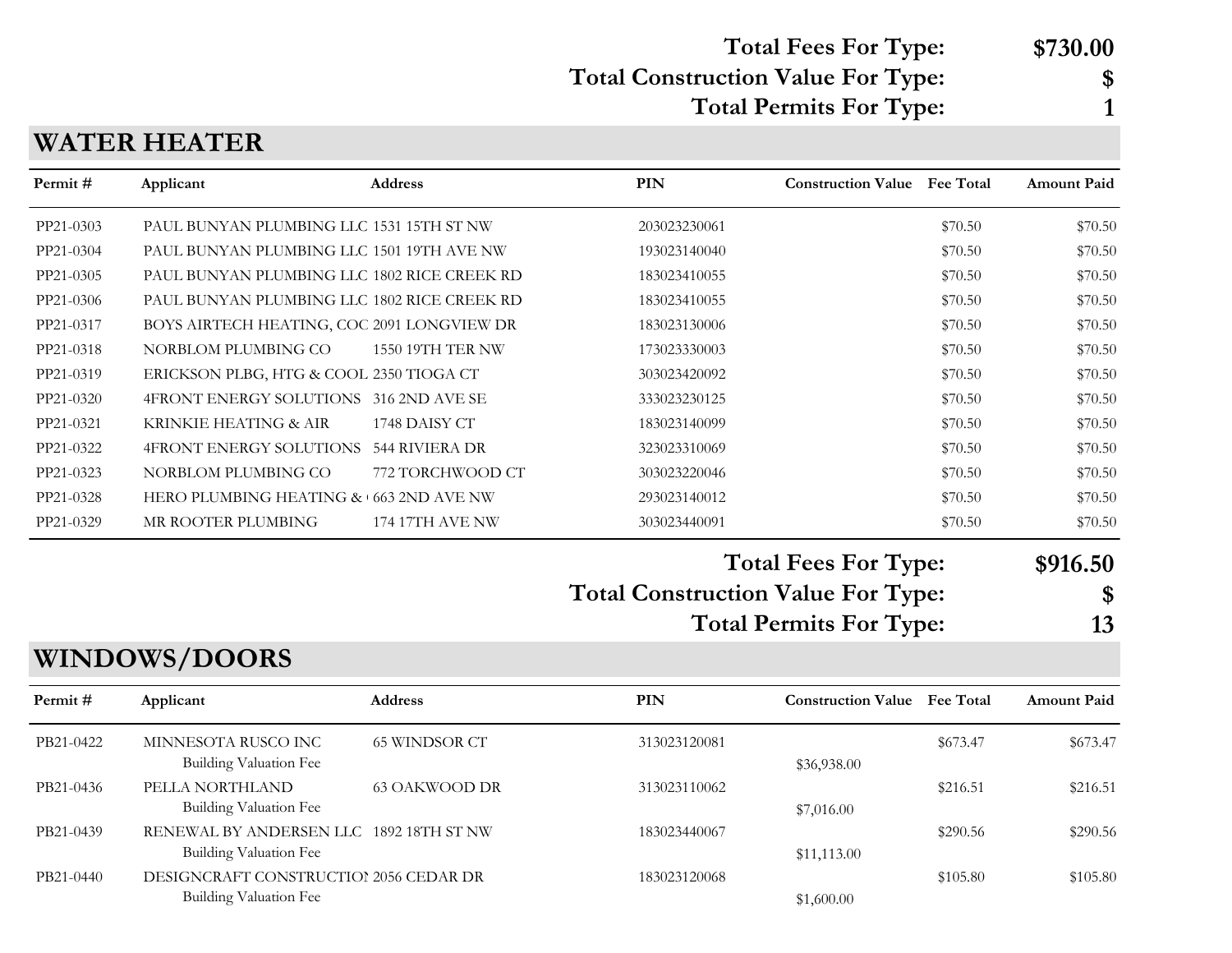#### **Total Fees For Type: \$730.00**

### **Total Construction Value For Type: \$**

**Total Permits For Type: 1**

#### **WATER HEATER**

| Permit#   | Applicant                                            | <b>Address</b>         | <b>PIN</b>                                | <b>Construction Value</b> Fee Total |          | <b>Amount Paid</b> |
|-----------|------------------------------------------------------|------------------------|-------------------------------------------|-------------------------------------|----------|--------------------|
| PP21-0303 | PAUL BUNYAN PLUMBING LLC 1531 15TH ST NW             |                        | 203023230061                              |                                     | \$70.50  | \$70.50            |
| PP21-0304 | PAUL BUNYAN PLUMBING LLC 1501 19TH AVE NW            |                        | 193023140040                              |                                     | \$70.50  | \$70.50            |
| PP21-0305 | PAUL BUNYAN PLUMBING LLC 1802 RICE CREEK RD          |                        | 183023410055                              |                                     | \$70.50  | \$70.50            |
| PP21-0306 | PAUL BUNYAN PLUMBING LLC 1802 RICE CREEK RD          |                        | 183023410055                              |                                     | \$70.50  | \$70.50            |
| PP21-0317 | BOYS AIRTECH HEATING, COC 2091 LONGVIEW DR           |                        | 183023130006                              |                                     | \$70.50  | \$70.50            |
| PP21-0318 | NORBLOM PLUMBING CO                                  | 1550 19TH TER NW       | 173023330003                              |                                     | \$70.50  | \$70.50            |
| PP21-0319 | ERICKSON PLBG, HTG & COOL 2350 TIOGA CT              |                        | 303023420092                              |                                     | \$70.50  | \$70.50            |
| PP21-0320 | 4FRONT ENERGY SOLUTIONS 316 2ND AVE SE               |                        | 333023230125                              |                                     | \$70.50  | \$70.50            |
| PP21-0321 | KRINKIE HEATING & AIR                                | 1748 DAISY CT          | 183023140099                              |                                     | \$70.50  | \$70.50            |
| PP21-0322 | 4FRONT ENERGY SOLUTIONS 544 RIVIERA DR               |                        | 323023310069                              |                                     | \$70.50  | \$70.50            |
| PP21-0323 | NORBLOM PLUMBING CO                                  | 772 TORCHWOOD CT       | 303023220046                              |                                     | \$70.50  | \$70.50            |
| PP21-0328 | HERO PLUMBING HEATING & 663 2ND AVE NW               |                        | 293023140012                              |                                     | \$70.50  | \$70.50            |
| PP21-0329 | MR ROOTER PLUMBING                                   | <b>174 17TH AVE NW</b> | 303023440091                              |                                     | \$70.50  | \$70.50            |
|           |                                                      |                        |                                           | <b>Total Fees For Type:</b>         |          | \$916.50           |
|           |                                                      |                        | <b>Total Construction Value For Type:</b> |                                     |          | \$                 |
|           |                                                      |                        | <b>Total Permits For Type:</b>            |                                     |          | 13                 |
|           | <b>WINDOWS/DOORS</b>                                 |                        |                                           |                                     |          |                    |
| Permit#   | Applicant                                            | Address                | PIN                                       | <b>Construction Value Fee Total</b> |          | <b>Amount Paid</b> |
| PB21-0422 | MINNESOTA RUSCO INC<br><b>Building Valuation Fee</b> | <b>65 WINDSOR CT</b>   | 313023120081                              |                                     | \$673.47 | \$673.47           |
| PB21-0436 | PELLA NORTHLAND                                      | <b>63 OAKWOOD DR</b>   | 313023110062                              | \$36,938.00                         | \$216.51 | \$216.51           |
|           | <b>Building Valuation Fee</b>                        |                        |                                           | \$7,016.00                          |          |                    |
| PB21-0439 | RENEWAL BY ANDERSEN LLC 1892 18TH ST NW              |                        | 183023440067                              |                                     | \$290.56 | \$290.56           |
|           | <b>Building Valuation Fee</b>                        |                        |                                           | \$11,113.00                         |          |                    |

PB21-0440 DESIGNCRAFT CONSTRUCTION 2056 CEDAR DR 183023120068 \$105.80 \$105.80 \$105.80 Building Valuation Fee  $$1,600.00$